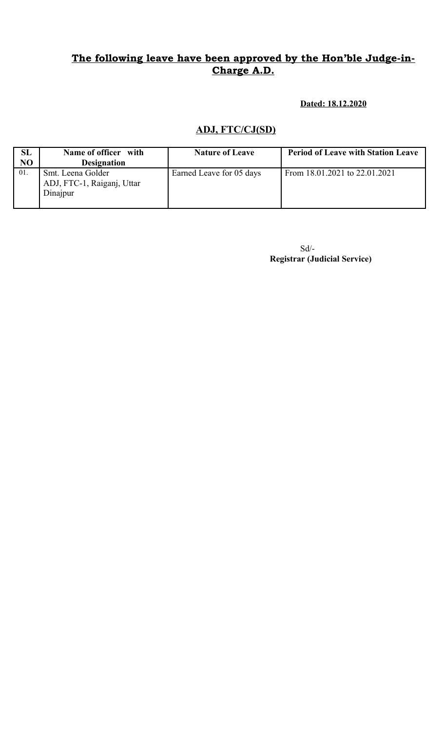**Dated: 18.12.2020**

## **ADJ, FTC/CJ(SD)**

| <b>SL</b>      | Name of officer with                                        | <b>Nature of Leave</b>   | <b>Period of Leave with Station Leave</b> |
|----------------|-------------------------------------------------------------|--------------------------|-------------------------------------------|
| N <sub>O</sub> | <b>Designation</b>                                          |                          |                                           |
| 01.            | Smt. Leena Golder<br>ADJ, FTC-1, Raiganj, Uttar<br>Dinajpur | Earned Leave for 05 days | From 18.01.2021 to 22.01.2021             |

Sd/-  **Registrar (Judicial Service)**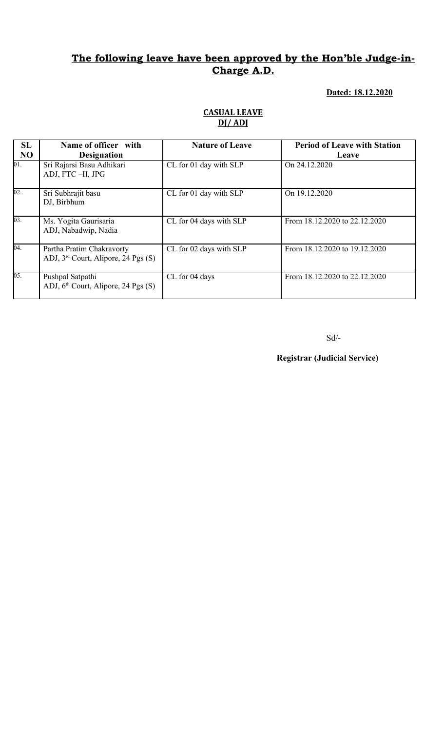#### **Dated: 18.12.2020**

### **CASUAL LEAVE DJ/ ADJ**

| SL             | Name of officer with                                                         | <b>Nature of Leave</b>  | <b>Period of Leave with Station</b> |
|----------------|------------------------------------------------------------------------------|-------------------------|-------------------------------------|
| N <sub>O</sub> | <b>Designation</b>                                                           |                         | Leave                               |
| 01.            | Sri Rajarsi Basu Adhikari<br>ADJ, FTC-II, JPG                                | CL for 01 day with SLP  | On 24.12.2020                       |
| 02.            | Sri Subhrajit basu<br>DJ, Birbhum                                            | CL for 01 day with SLP  | On 19.12.2020                       |
| 03.            | Ms. Yogita Gaurisaria<br>ADJ, Nabadwip, Nadia                                | CL for 04 days with SLP | From 18.12.2020 to 22.12.2020       |
| 04.            | Partha Pratim Chakravorty<br>ADJ, 3 <sup>rd</sup> Court, Alipore, 24 Pgs (S) | CL for 02 days with SLP | From 18.12.2020 to 19.12.2020       |
| 05.            | Pushpal Satpathi<br>ADJ, 6 <sup>th</sup> Court, Alipore, 24 Pgs (S)          | CL for 04 days          | From 18.12.2020 to 22.12.2020       |

 $\mbox{Sd}/\mbox{-}$ 

**Registrar (Judicial Service)**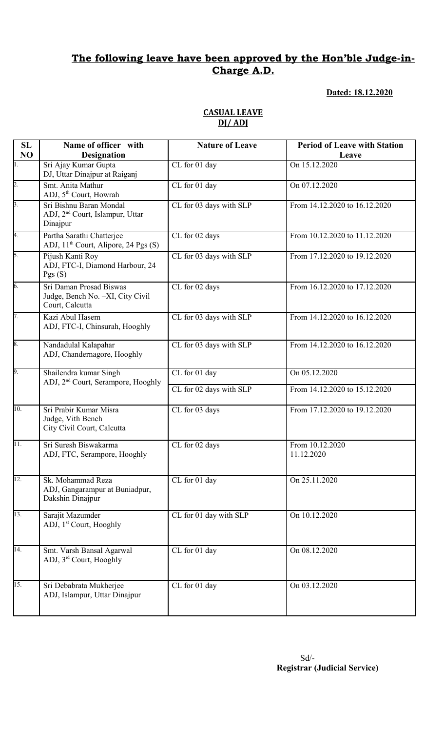### **Dated: 18.12.2020**

**Leave**

# **DJ/ ADJ Name of officer with Designation Nature of Leave Period of Leave with Station** CL for 01 day 0n 15.12.2020

**SL NO**

| $\overline{1}$ .  | Sri Ajay Kumar Gupta<br>DJ, Uttar Dinajpur at Raiganj                              | CL for 01 day           | On 15.12.2020                 |
|-------------------|------------------------------------------------------------------------------------|-------------------------|-------------------------------|
| $\overline{2}$ .  | Smt. Anita Mathur<br>ADJ, 5 <sup>th</sup> Court, Howrah                            | CL for 01 day           | On 07.12.2020                 |
| $\overline{3}$ .  | Sri Bishnu Baran Mondal<br>ADJ, 2 <sup>nd</sup> Court, Islampur, Uttar<br>Dinajpur | CL for 03 days with SLP | From 14.12.2020 to 16.12.2020 |
| 4.                | Partha Sarathi Chatterjee<br>ADJ, 11 <sup>th</sup> Court, Alipore, 24 Pgs (S)      | CL for 02 days          | From 10.12.2020 to 11.12.2020 |
| 5.                | Pijush Kanti Roy<br>ADJ, FTC-I, Diamond Harbour, 24<br>Pgs(S)                      | CL for 03 days with SLP | From 17.12.2020 to 19.12.2020 |
| 6.                | Sri Daman Prosad Biswas<br>Judge, Bench No. -XI, City Civil<br>Court, Calcutta     | CL for 02 days          | From 16.12.2020 to 17.12.2020 |
| 7.                | Kazi Abul Hasem<br>ADJ, FTC-I, Chinsurah, Hooghly                                  | CL for 03 days with SLP | From 14.12.2020 to 16.12.2020 |
| 8.                | Nandadulal Kalapahar<br>ADJ, Chandernagore, Hooghly                                | CL for 03 days with SLP | From 14.12.2020 to 16.12.2020 |
| 9.                | Shailendra kumar Singh<br>ADJ, 2 <sup>nd</sup> Court, Serampore, Hooghly           | CL for 01 day           | On 05.12.2020                 |
|                   |                                                                                    | CL for 02 days with SLP | From 14.12.2020 to 15.12.2020 |
| 10.               | Sri Prabir Kumar Misra<br>Judge, Vith Bench<br>City Civil Court, Calcutta          | CL for 03 days          | From 17.12.2020 to 19.12.2020 |
| $\overline{11}$ . | Sri Suresh Biswakarma<br>ADJ, FTC, Serampore, Hooghly                              | CL for 02 days          | From 10.12.2020<br>11.12.2020 |
| 12.               | Sk. Mohammad Reza<br>ADJ, Gangarampur at Buniadpur,<br>Dakshin Dinajpur            | CL for 01 day           | On 25.11.2020                 |
| 13.               | Sarajit Mazumder<br>ADJ, 1 <sup>st</sup> Court, Hooghly                            | CL for 01 day with SLP  | On 10.12.2020                 |
| $\overline{14}$ . | Smt. Varsh Bansal Agarwal<br>ADJ, 3 <sup>rd</sup> Court, Hooghly                   | CL for 01 day           | On 08.12.2020                 |
| $\overline{15}$ . | Sri Debabrata Mukherjee<br>ADJ, Islampur, Uttar Dinajpur                           | CL for 01 day           | On 03.12.2020                 |

## **CASUAL LEAVE**